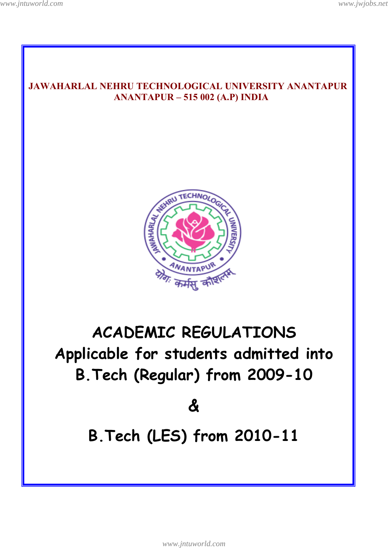

*www.jntuworld.com*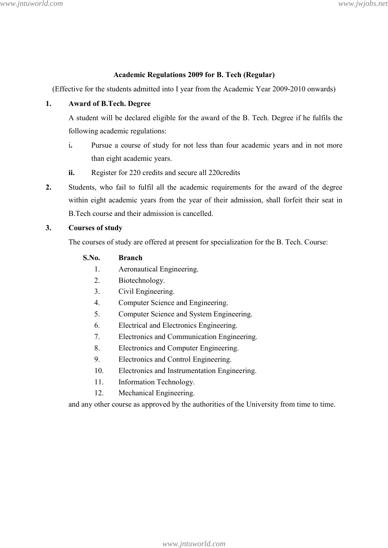### **Academic Regulations 2009 for B. Tech (Regular)**

(Effective for the students admitted into I year from the Academic Year 2009-2010 onwards)

### **1. Award of B.Tech. Degree**

A student will be declared eligible for the award of the B. Tech. Degree if he fulfils the following academic regulations:

- i**.** Pursue a course of study for not less than four academic years and in not more than eight academic years.
- **ii.** Register for 220 credits and secure all 220credits
- **2.** Students, who fail to fulfil all the academic requirements for the award of the degree within eight academic years from the year of their admission, shall forfeit their seat in B.Tech course and their admission is cancelled.

### **3. Courses of study**

The courses of study are offered at present for specialization for the B. Tech. Course:

## **S.No. Branch**

- 1. Aeronautical Engineering.
- 2. Biotechnology.
- 3. Civil Engineering.
- 4. Computer Science and Engineering.
- 5. Computer Science and System Engineering.
- 6. Electrical and Electronics Engineering.
- 7. Electronics and Communication Engineering.
- 8. Electronics and Computer Engineering.
- 9. Electronics and Control Engineering.
- 10. Electronics and Instrumentation Engineering.
- 11. Information Technology.
- 12. Mechanical Engineering.

and any other course as approved by the authorities of the University from time to time.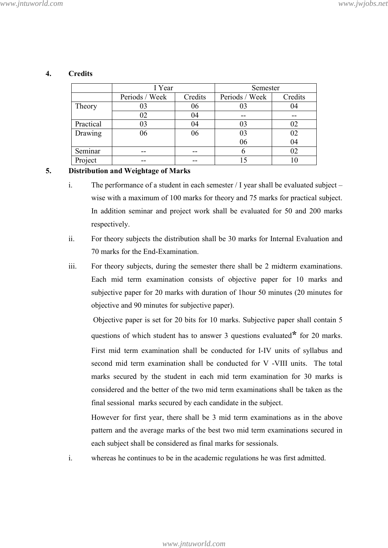|           | I Year         |         | Semester       |         |
|-----------|----------------|---------|----------------|---------|
|           | Periods / Week | Credits | Periods / Week | Credits |
| Theory    | 03             | 06      | 03             | 04      |
|           | 02             | 04      |                |         |
| Practical | 03             | 04      | 03             | 02      |
| Drawing   | 06             | 06      | 03             | 02      |
|           |                |         | 06             | 04      |
| Seminar   |                |         |                | 02      |
| Project   |                |         |                |         |

### **4. Credits**

### **5. Distribution and Weightage of Marks**

- i. The performance of a student in each semester / I year shall be evaluated subject wise with a maximum of 100 marks for theory and 75 marks for practical subject. In addition seminar and project work shall be evaluated for 50 and 200 marks respectively.
- ii. For theory subjects the distribution shall be 30 marks for Internal Evaluation and 70 marks for the End-Examination.
- iii. For theory subjects, during the semester there shall be 2 midterm examinations. Each mid term examination consists of objective paper for 10 marks and subjective paper for 20 marks with duration of 1hour 50 minutes (20 minutes for objective and 90 minutes for subjective paper).

 Objective paper is set for 20 bits for 10 marks. Subjective paper shall contain 5 questions of which student has to answer 3 questions evaluated**\*** for 20 marks. First mid term examination shall be conducted for I-IV units of syllabus and second mid term examination shall be conducted for V -VIII units. The total marks secured by the student in each mid term examination for 30 marks is considered and the better of the two mid term examinations shall be taken as the final sessional marks secured by each candidate in the subject.

However for first year, there shall be 3 mid term examinations as in the above pattern and the average marks of the best two mid term examinations secured in each subject shall be considered as final marks for sessionals.

i. whereas he continues to be in the academic regulations he was first admitted.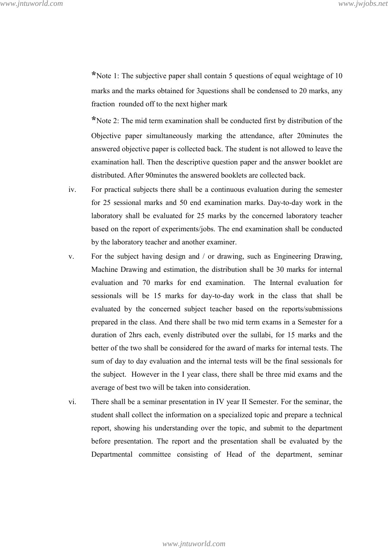**\***Note 1: The subjective paper shall contain 5 questions of equal weightage of 10 marks and the marks obtained for 3questions shall be condensed to 20 marks, any fraction rounded off to the next higher mark

**\***Note 2: The mid term examination shall be conducted first by distribution of the Objective paper simultaneously marking the attendance, after 20minutes the answered objective paper is collected back. The student is not allowed to leave the examination hall. Then the descriptive question paper and the answer booklet are distributed. After 90minutes the answered booklets are collected back.

- iv. For practical subjects there shall be a continuous evaluation during the semester for 25 sessional marks and 50 end examination marks. Day-to-day work in the laboratory shall be evaluated for 25 marks by the concerned laboratory teacher based on the report of experiments/jobs. The end examination shall be conducted by the laboratory teacher and another examiner.
- v. For the subject having design and / or drawing, such as Engineering Drawing, Machine Drawing and estimation, the distribution shall be 30 marks for internal evaluation and 70 marks for end examination. The Internal evaluation for sessionals will be 15 marks for day-to-day work in the class that shall be evaluated by the concerned subject teacher based on the reports/submissions prepared in the class. And there shall be two mid term exams in a Semester for a duration of 2hrs each, evenly distributed over the sullabi, for 15 marks and the better of the two shall be considered for the award of marks for internal tests. The sum of day to day evaluation and the internal tests will be the final sessionals for the subject. However in the I year class, there shall be three mid exams and the average of best two will be taken into consideration.
- vi. There shall be a seminar presentation in IV year II Semester. For the seminar, the student shall collect the information on a specialized topic and prepare a technical report, showing his understanding over the topic, and submit to the department before presentation. The report and the presentation shall be evaluated by the Departmental committee consisting of Head of the department, seminar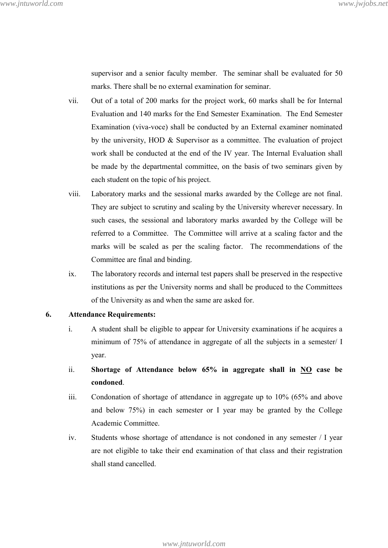supervisor and a senior faculty member. The seminar shall be evaluated for 50 marks. There shall be no external examination for seminar.

- vii. Out of a total of 200 marks for the project work, 60 marks shall be for Internal Evaluation and 140 marks for the End Semester Examination. The End Semester Examination (viva-voce) shall be conducted by an External examiner nominated by the university, HOD & Supervisor as a committee. The evaluation of project work shall be conducted at the end of the IV year. The Internal Evaluation shall be made by the departmental committee, on the basis of two seminars given by each student on the topic of his project.
- viii. Laboratory marks and the sessional marks awarded by the College are not final. They are subject to scrutiny and scaling by the University wherever necessary. In such cases, the sessional and laboratory marks awarded by the College will be referred to a Committee. The Committee will arrive at a scaling factor and the marks will be scaled as per the scaling factor. The recommendations of the Committee are final and binding.
- ix. The laboratory records and internal test papers shall be preserved in the respective institutions as per the University norms and shall be produced to the Committees of the University as and when the same are asked for.

#### **6. Attendance Requirements:**

- i. A student shall be eligible to appear for University examinations if he acquires a minimum of 75% of attendance in aggregate of all the subjects in a semester/ I year.
- ii. **Shortage of Attendance below 65% in aggregate shall in NO case be condoned**.
- iii. Condonation of shortage of attendance in aggregate up to 10% (65% and above and below 75%) in each semester or I year may be granted by the College Academic Committee.
- iv. Students whose shortage of attendance is not condoned in any semester / I year are not eligible to take their end examination of that class and their registration shall stand cancelled.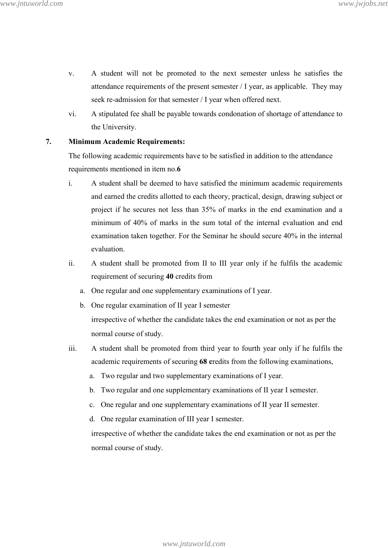- v. A student will not be promoted to the next semester unless he satisfies the attendance requirements of the present semester / I year, as applicable. They may seek re-admission for that semester / I year when offered next.
- vi. A stipulated fee shall be payable towards condonation of shortage of attendance to the University.

### **7. Minimum Academic Requirements:**

The following academic requirements have to be satisfied in addition to the attendance requirements mentioned in item no.**6** 

- i. A student shall be deemed to have satisfied the minimum academic requirements and earned the credits allotted to each theory, practical, design, drawing subject or project if he secures not less than 35% of marks in the end examination and a minimum of 40% of marks in the sum total of the internal evaluation and end examination taken together. For the Seminar he should secure 40% in the internal evaluation.
- ii. A student shall be promoted from II to III year only if he fulfils the academic requirement of securing **40** credits from
	- a. One regular and one supplementary examinations of I year.
	- b. One regular examination of II year I semester irrespective of whether the candidate takes the end examination or not as per the normal course of study.
- iii. A student shall be promoted from third year to fourth year only if he fulfils the academic requirements of securing **68 c**redits from the following examinations,
	- a. Two regular and two supplementary examinations of I year.
	- b. Two regular and one supplementary examinations of II year I semester.
	- c. One regular and one supplementary examinations of II year II semester.
	- d. One regular examination of III year I semester.

 irrespective of whether the candidate takes the end examination or not as per the normal course of study.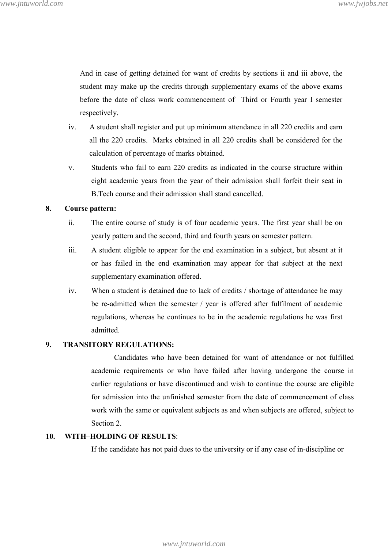And in case of getting detained for want of credits by sections ii and iii above, the student may make up the credits through supplementary exams of the above exams before the date of class work commencement of Third or Fourth year I semester respectively.

- iv. A student shall register and put up minimum attendance in all 220 credits and earn all the 220 credits. Marks obtained in all 220 credits shall be considered for the calculation of percentage of marks obtained.
- v. Students who fail to earn 220 credits as indicated in the course structure within eight academic years from the year of their admission shall forfeit their seat in B.Tech course and their admission shall stand cancelled.

#### **8. Course pattern:**

- ii. The entire course of study is of four academic years. The first year shall be on yearly pattern and the second, third and fourth years on semester pattern.
- iii. A student eligible to appear for the end examination in a subject, but absent at it or has failed in the end examination may appear for that subject at the next supplementary examination offered.
- iv. When a student is detained due to lack of credits / shortage of attendance he may be re-admitted when the semester / year is offered after fulfilment of academic regulations, whereas he continues to be in the academic regulations he was first admitted.

#### **9. TRANSITORY REGULATIONS:**

 Candidates who have been detained for want of attendance or not fulfilled academic requirements or who have failed after having undergone the course in earlier regulations or have discontinued and wish to continue the course are eligible for admission into the unfinished semester from the date of commencement of class work with the same or equivalent subjects as and when subjects are offered, subject to Section 2.

#### **10. WITH–HOLDING OF RESULTS**:

If the candidate has not paid dues to the university or if any case of in-discipline or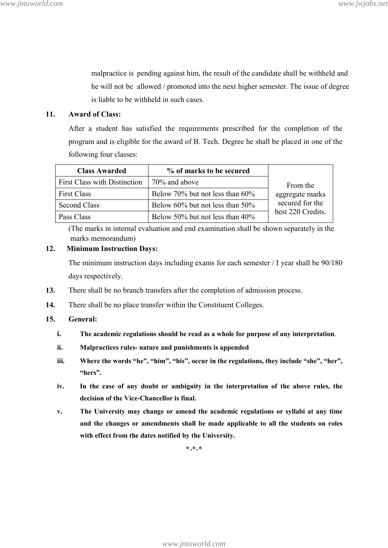malpractice is pending against him, the result of the candidate shall be withheld and he will not be allowed / promoted into the next higher semester. The issue of degree is liable to be withheld in such cases.

### **11. Award of Class:**

After a student has satisfied the requirements prescribed for the completion of the program and is eligible for the award of B. Tech. Degree he shall be placed in one of the following four classes:

| <b>Class Awarded</b>                | % of marks to be secured              |                   |
|-------------------------------------|---------------------------------------|-------------------|
| <b>First Class with Distinction</b> | $70\%$ and above                      | From the          |
| First Class                         | Below 70% but not less than 60%       | aggregate marks   |
| <b>Second Class</b>                 | Below $60\%$ but not less than $50\%$ | secured for the   |
| Pass Class                          | Below 50% but not less than 40%       | best 220 Credits. |

(The marks in internal evaluation and end examination shall be shown separately in the marks memorandum)

### **12. Minimum Instruction Days:**

The minimum instruction days including exams for each semester / I year shall be 90/180 days respectively.

- **13.** There shall be no branch transfers after the completion of admission process.
- **14.** There shall be no place transfer within the Constituent Colleges.
- **15. General:** 
	- **i. The academic regulations should be read as a whole for purpose of any interpretation**.
	- **ii. Malpractices rules- nature and punishments is appended**
	- **iii. Where the words "he", "him", "his", occur in the regulations, they include "she", "her", "hers".**
	- **iv. In the case of any doubt or ambiguity in the interpretation of the above rules, the decision of the Vice-Chancellor is final.**
	- **v. The University may change or amend the academic regulations or syllabi at any time and the changes or amendments shall be made applicable to all the students on roles with effect from the dates notified by the University.**

\*-\*-\*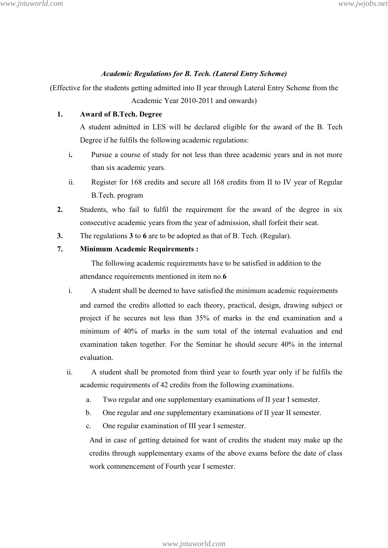### *Academic Regulations for B. Tech. (Lateral Entry Scheme)*

(Effective for the students getting admitted into II year through Lateral Entry Scheme from the Academic Year 2010-2011 and onwards)

### **1. Award of B.Tech. Degree**

A student admitted in LES will be declared eligible for the award of the B. Tech Degree if he fulfils the following academic regulations:

- i**.** Pursue a course of study for not less than three academic years and in not more than six academic years.
- ii.Register for 168 credits and secure all 168 credits from II to IV year of Regular B.Tech. program
- **2.** Students, who fail to fulfil the requirement for the award of the degree in six consecutive academic years from the year of admission, shall forfeit their seat.
- **3.** The regulations **3** to **6** are to be adopted as that of B. Tech. (Regular).

### **7. Minimum Academic Requirements :**

 The following academic requirements have to be satisfied in addition to the attendance requirements mentioned in item no.**6** 

- i. A student shall be deemed to have satisfied the minimum academic requirements and earned the credits allotted to each theory, practical, design, drawing subject or project if he secures not less than 35% of marks in the end examination and a minimum of 40% of marks in the sum total of the internal evaluation and end examination taken together. For the Seminar he should secure 40% in the internal evaluation.
- ii. A student shall be promoted from third year to fourth year only if he fulfils the academic requirements of 42 credits from the following examinations.
	- a. Two regular and one supplementary examinations of II year I semester.
	- b. One regular and one supplementary examinations of II year II semester.
	- c. One regular examination of III year I semester.

And in case of getting detained for want of credits the student may make up the credits through supplementary exams of the above exams before the date of class work commencement of Fourth year I semester.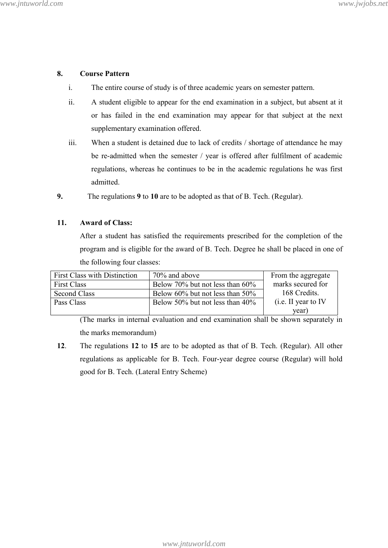### **8. Course Pattern**

- i. The entire course of study is of three academic years on semester pattern.
- ii. A student eligible to appear for the end examination in a subject, but absent at it or has failed in the end examination may appear for that subject at the next supplementary examination offered.
- iii. When a student is detained due to lack of credits / shortage of attendance he may be re-admitted when the semester / year is offered after fulfilment of academic regulations, whereas he continues to be in the academic regulations he was first admitted.
- **9.** The regulations **9** to **10** are to be adopted as that of B. Tech. (Regular).

### **11. Award of Class:**

After a student has satisfied the requirements prescribed for the completion of the program and is eligible for the award of B. Tech. Degree he shall be placed in one of the following four classes:

| <b>First Class with Distinction</b> | 70% and above                      | From the aggregate   |
|-------------------------------------|------------------------------------|----------------------|
| <b>First Class</b>                  | Below 70% but not less than 60%    | marks secured for    |
| Second Class                        | Below 60% but not less than 50%    | 168 Credits.         |
| Pass Class                          | Below 50% but not less than $40\%$ | (i.e. II year to IV) |
|                                     |                                    | year)                |

(The marks in internal evaluation and end examination shall be shown separately in the marks memorandum)

**12**. The regulations **12** to **15** are to be adopted as that of B. Tech. (Regular). All other regulations as applicable for B. Tech. Four-year degree course (Regular) will hold good for B. Tech. (Lateral Entry Scheme)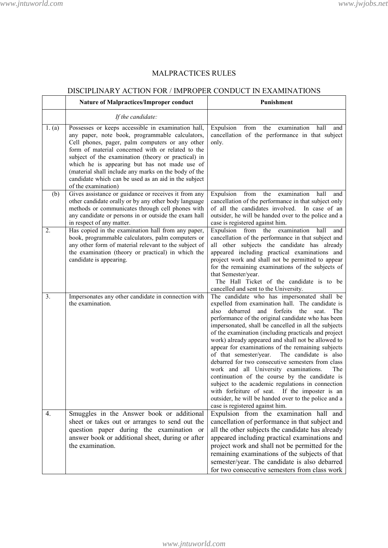# MALPRACTICES RULES

# DISCIPLINARY ACTION FOR / IMPROPER CONDUCT IN EXAMINATIONS

|                  | <b>Nature of Malpractices/Improper conduct</b>                                                                                                                                                                                                                                                                                                                                                                                                               | Punishment                                                                                                                                                                                                                                                                                                                                                                                                                                                                                                                                                                                                                                                                                                                                                                                                                                        |
|------------------|--------------------------------------------------------------------------------------------------------------------------------------------------------------------------------------------------------------------------------------------------------------------------------------------------------------------------------------------------------------------------------------------------------------------------------------------------------------|---------------------------------------------------------------------------------------------------------------------------------------------------------------------------------------------------------------------------------------------------------------------------------------------------------------------------------------------------------------------------------------------------------------------------------------------------------------------------------------------------------------------------------------------------------------------------------------------------------------------------------------------------------------------------------------------------------------------------------------------------------------------------------------------------------------------------------------------------|
|                  | If the candidate:                                                                                                                                                                                                                                                                                                                                                                                                                                            |                                                                                                                                                                                                                                                                                                                                                                                                                                                                                                                                                                                                                                                                                                                                                                                                                                                   |
| 1. (a)           | Possesses or keeps accessible in examination hall,<br>any paper, note book, programmable calculators,<br>Cell phones, pager, palm computers or any other<br>form of material concerned with or related to the<br>subject of the examination (theory or practical) in<br>which he is appearing but has not made use of<br>(material shall include any marks on the body of the<br>candidate which can be used as an aid in the subject<br>of the examination) | Expulsion<br>from<br>the<br>examination<br>hall<br>and<br>cancellation of the performance in that subject<br>only.                                                                                                                                                                                                                                                                                                                                                                                                                                                                                                                                                                                                                                                                                                                                |
| (b)              | Gives assistance or guidance or receives it from any<br>other candidate orally or by any other body language<br>methods or communicates through cell phones with<br>any candidate or persons in or outside the exam hall<br>in respect of any matter.                                                                                                                                                                                                        | the<br>Expulsion<br>from<br>hall<br>examination<br>and<br>cancellation of the performance in that subject only<br>of all the candidates involved. In case of an<br>outsider, he will be handed over to the police and a<br>case is registered against him.                                                                                                                                                                                                                                                                                                                                                                                                                                                                                                                                                                                        |
| 2.               | Has copied in the examination hall from any paper,<br>book, programmable calculators, palm computers or<br>any other form of material relevant to the subject of<br>the examination (theory or practical) in which the<br>candidate is appearing.                                                                                                                                                                                                            | Expulsion from<br>examination<br>the<br>hall<br>and<br>cancellation of the performance in that subject and<br>all other subjects the candidate has already<br>appeared including practical examinations and<br>project work and shall not be permitted to appear<br>for the remaining examinations of the subjects of<br>that Semester/year.<br>The Hall Ticket of the candidate is to be<br>cancelled and sent to the University.                                                                                                                                                                                                                                                                                                                                                                                                                |
| 3.               | Impersonates any other candidate in connection with<br>the examination.                                                                                                                                                                                                                                                                                                                                                                                      | The candidate who has impersonated shall be<br>expelled from examination hall. The candidate is<br>also<br>debarred and forfeits the<br>seat.<br>The<br>performance of the original candidate who has been<br>impersonated, shall be cancelled in all the subjects<br>of the examination (including practicals and project<br>work) already appeared and shall not be allowed to<br>appear for examinations of the remaining subjects<br>of that semester/year.<br>The candidate is also<br>debarred for two consecutive semesters from class<br>work and all University examinations.<br>The<br>continuation of the course by the candidate is<br>subject to the academic regulations in connection<br>with forfeiture of seat. If the imposter is an<br>outsider, he will be handed over to the police and a<br>case is registered against him. |
| $\overline{4}$ . | Smuggles in the Answer book or additional<br>sheet or takes out or arranges to send out the<br>question paper during the examination or<br>answer book or additional sheet, during or after<br>the examination.                                                                                                                                                                                                                                              | Expulsion from the examination hall and<br>cancellation of performance in that subject and<br>all the other subjects the candidate has already<br>appeared including practical examinations and<br>project work and shall not be permitted for the<br>remaining examinations of the subjects of that<br>semester/year. The candidate is also debarred<br>for two consecutive semesters from class work                                                                                                                                                                                                                                                                                                                                                                                                                                            |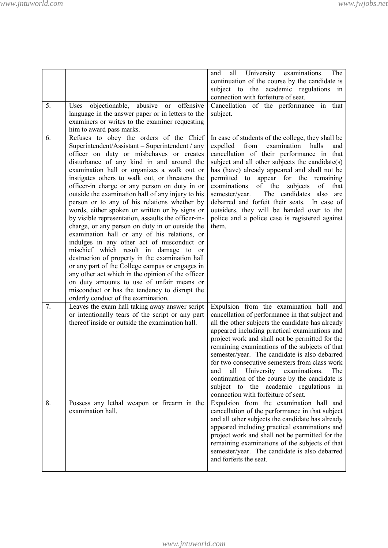|    |                                                                     | University<br>all<br>examinations.<br>The<br>and                                                     |
|----|---------------------------------------------------------------------|------------------------------------------------------------------------------------------------------|
|    |                                                                     | continuation of the course by the candidate is                                                       |
|    |                                                                     | subject to the academic regulations in<br>connection with forfeiture of seat.                        |
| 5. | abusive or offensive                                                |                                                                                                      |
|    | objectionable,<br>Uses                                              | Cancellation of the performance in that                                                              |
|    | language in the answer paper or in letters to the                   | subject.                                                                                             |
|    | examiners or writes to the examiner requesting                      |                                                                                                      |
| 6. | him to award pass marks.<br>Refuses to obey the orders of the Chief |                                                                                                      |
|    | Superintendent/Assistant - Superintendent / any                     | In case of students of the college, they shall be<br>from<br>examination<br>expelled<br>halls<br>and |
|    | officer on duty or misbehaves or creates                            | cancellation of their performance in that                                                            |
|    | disturbance of any kind in and around the                           | subject and all other subjects the candidate(s)                                                      |
|    | examination hall or organizes a walk out or                         | has (have) already appeared and shall not be                                                         |
|    | instigates others to walk out, or threatens the                     | permitted to appear for the remaining                                                                |
|    | officer-in charge or any person on duty in or                       | examinations<br>of the<br>subjects<br>of<br>that                                                     |
|    | outside the examination hall of any injury to his                   | The candidates<br>semester/year.<br>also<br>are                                                      |
|    | person or to any of his relations whether by                        | debarred and forfeit their seats. In case of                                                         |
|    | words, either spoken or written or by signs or                      | outsiders, they will be handed over to the                                                           |
|    | by visible representation, assaults the officer-in-                 | police and a police case is registered against                                                       |
|    | charge, or any person on duty in or outside the                     | them.                                                                                                |
|    | examination hall or any of his relations, or                        |                                                                                                      |
|    | indulges in any other act of misconduct or                          |                                                                                                      |
|    | mischief which result in damage to or                               |                                                                                                      |
|    | destruction of property in the examination hall                     |                                                                                                      |
|    | or any part of the College campus or engages in                     |                                                                                                      |
|    | any other act which in the opinion of the officer                   |                                                                                                      |
|    | on duty amounts to use of unfair means or                           |                                                                                                      |
|    | misconduct or has the tendency to disrupt the                       |                                                                                                      |
|    | orderly conduct of the examination.                                 |                                                                                                      |
| 7. | Leaves the exam hall taking away answer script                      | Expulsion from the examination hall and                                                              |
|    | or intentionally tears of the script or any part                    | cancellation of performance in that subject and                                                      |
|    | thereof inside or outside the examination hall.                     | all the other subjects the candidate has already                                                     |
|    |                                                                     | appeared including practical examinations and                                                        |
|    |                                                                     | project work and shall not be permitted for the                                                      |
|    |                                                                     | remaining examinations of the subjects of that<br>semester/year. The candidate is also debarred      |
|    |                                                                     | for two consecutive semesters from class work                                                        |
|    |                                                                     | all<br>The<br>and<br>University<br>examinations.                                                     |
|    |                                                                     | continuation of the course by the candidate is                                                       |
|    |                                                                     | subject to the academic regulations<br>in                                                            |
|    |                                                                     | connection with forfeiture of seat.                                                                  |
| 8. | Possess any lethal weapon or firearm in the                         | Expulsion from the examination hall and                                                              |
|    | examination hall.                                                   | cancellation of the performance in that subject                                                      |
|    |                                                                     | and all other subjects the candidate has already                                                     |
|    |                                                                     | appeared including practical examinations and                                                        |
|    |                                                                     | project work and shall not be permitted for the                                                      |
|    |                                                                     | remaining examinations of the subjects of that                                                       |
|    |                                                                     | semester/year. The candidate is also debarred                                                        |
|    |                                                                     | and forfeits the seat.                                                                               |
|    |                                                                     |                                                                                                      |